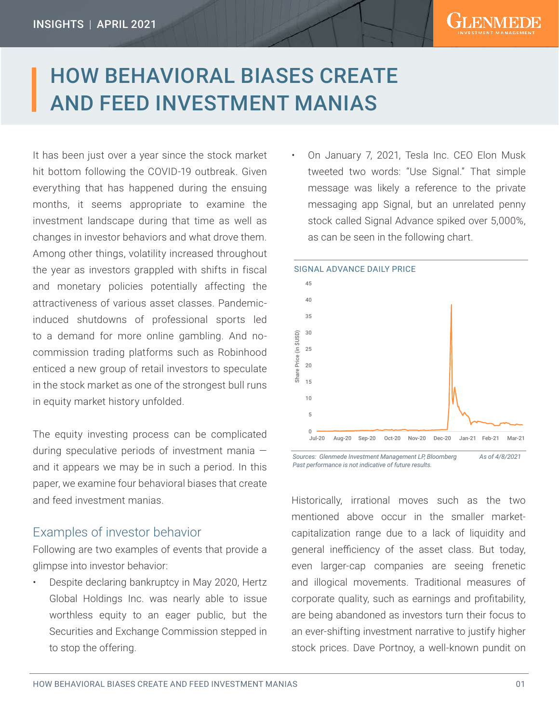# HOW BEHAVIORAL BIASES CREATE AND FEED INVESTMENT MANIAS

It has been just over a year since the stock market hit bottom following the COVID-19 outbreak. Given everything that has happened during the ensuing months, it seems appropriate to examine the investment landscape during that time as well as changes in investor behaviors and what drove them. Among other things, volatility increased throughout the year as investors grappled with shifts in fiscal and monetary policies potentially affecting the attractiveness of various asset classes. Pandemicinduced shutdowns of professional sports led to a demand for more online gambling. And nocommission trading platforms such as Robinhood enticed a new group of retail investors to speculate in the stock market as one of the strongest bull runs in equity market history unfolded.

The equity investing process can be complicated during speculative periods of investment mania and it appears we may be in such a period. In this paper, we examine four behavioral biases that create and feed investment manias.

#### Examples of investor behavior

Following are two examples of events that provide a glimpse into investor behavior:

• Despite declaring bankruptcy in May 2020, Hertz Global Holdings Inc. was nearly able to issue worthless equity to an eager public, but the Securities and Exchange Commission stepped in to stop the offering.

• On January 7, 2021, Tesla Inc. CEO Elon Musk tweeted two words: "Use Signal." That simple message was likely a reference to the private messaging app Signal, but an unrelated penny stock called Signal Advance spiked over 5,000%, as can be seen in the following chart.



Sources: Glenmede Investment Management LP, Bloomberg As of 4/8/2021 *Past performance is not indicative of future results.*

Historically, irrational moves such as the two mentioned above occur in the smaller marketcapitalization range due to a lack of liquidity and general inefficiency of the asset class. But today, even larger-cap companies are seeing frenetic and illogical movements. Traditional measures of corporate quality, such as earnings and profitability, are being abandoned as investors turn their focus to an ever-shifting investment narrative to justify higher stock prices. Dave Portnoy, a well-known pundit on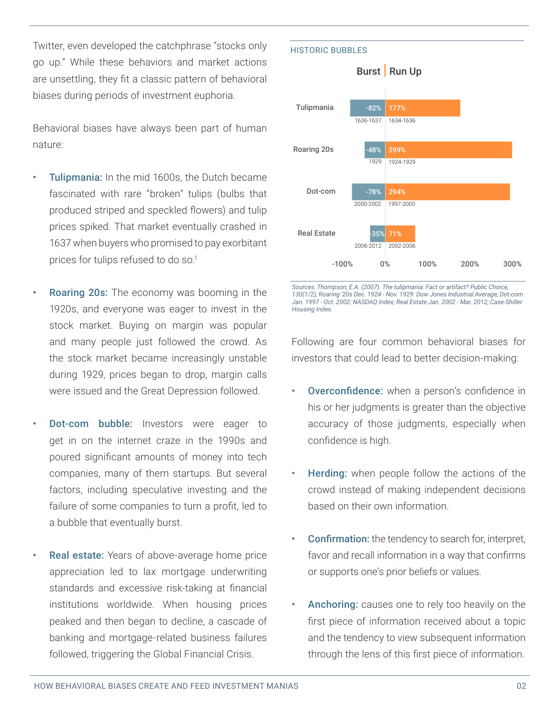Twitter, even developed the catchphrase "stocks only go up." While these behaviors and market actions are unsettling, they fit a classic pattern of behavioral biases during periods of investment euphoria.

Behavioral biases have always been part of human nature:

- Tulipmania: In the mid 1600s, the Dutch became fascinated with rare "broken" tulips (bulbs that produced striped and speckled flowers) and tulip prices spiked. That market eventually crashed in 1637 when buyers who promised to pay exorbitant prices for tulips refused to do so.<sup>1</sup>
- **Roaring 20s:** The economy was booming in the 1920s, and everyone was eager to invest in the stock market. Buying on margin was popular and many people just followed the crowd. As the stock market became increasingly unstable during 1929, prices began to drop, margin calls were issued and the Great Depression followed.
- **Dot-com bubble:** Investors were eager to get in on the internet craze in the 1990s and poured significant amounts of money into tech companies, many of them startups. But several factors, including speculative investing and the failure of some companies to turn a profit, led to a bubble that eventually burst.
- Real estate: Years of above-average home price appreciation led to lax mortgage underwriting standards and excessive risk-taking at financial institutions worldwide. When housing prices peaked and then began to decline, a cascade of banking and mortgage-related business failures followed, triggering the Global Financial Crisis.



*Sources: Thompson, E.A. (2007). The tulipmania: Fact or artifact? Public Choice, 130(1/2); Roaring '20s Dec. 1924 - Nov. 1929: Dow Jones Industrial Average; Dot-com Jan. 1997 - Oct. 2002: NASDAQ Index; Real Estate Jan. 2002 - Mar. 2012; Case-Shiller Housing Index.*

Following are four common behavioral biases for investors that could lead to better decision-making:

- **Overconfidence:** when a person's confidence in his or her judgments is greater than the objective accuracy of those judgments, especially when confidence is high.
- **Herding:** when people follow the actions of the crowd instead of making independent decisions based on their own information.
- Confirmation: the tendency to search for, interpret, favor and recall information in a way that confirms or supports one's prior beliefs or values.
- Anchoring: causes one to rely too heavily on the first piece of information received about a topic and the tendency to view subsequent information through the lens of this first piece of information.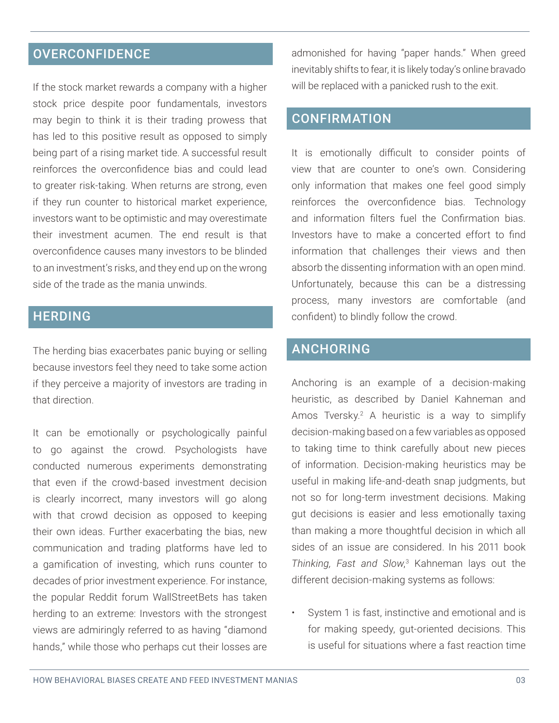# **OVERCONFIDENCE**

If the stock market rewards a company with a higher stock price despite poor fundamentals, investors may begin to think it is their trading prowess that has led to this positive result as opposed to simply being part of a rising market tide. A successful result reinforces the overconfidence bias and could lead to greater risk-taking. When returns are strong, even if they run counter to historical market experience, investors want to be optimistic and may overestimate their investment acumen. The end result is that overconfidence causes many investors to be blinded to an investment's risks, and they end up on the wrong side of the trade as the mania unwinds.

# **HERDING**

The herding bias exacerbates panic buying or selling because investors feel they need to take some action if they perceive a majority of investors are trading in that direction.

It can be emotionally or psychologically painful to go against the crowd. Psychologists have conducted numerous experiments demonstrating that even if the crowd-based investment decision is clearly incorrect, many investors will go along with that crowd decision as opposed to keeping their own ideas. Further exacerbating the bias, new communication and trading platforms have led to a gamification of investing, which runs counter to decades of prior investment experience. For instance, the popular Reddit forum WallStreetBets has taken herding to an extreme: Investors with the strongest views are admiringly referred to as having "diamond hands," while those who perhaps cut their losses are

admonished for having "paper hands." When greed inevitably shifts to fear, it is likely today's online bravado will be replaced with a panicked rush to the exit.

#### **CONFIRMATION**

It is emotionally difficult to consider points of view that are counter to one's own. Considering only information that makes one feel good simply reinforces the overconfidence bias. Technology and information filters fuel the Confirmation bias. Investors have to make a concerted effort to find information that challenges their views and then absorb the dissenting information with an open mind. Unfortunately, because this can be a distressing process, many investors are comfortable (and confident) to blindly follow the crowd.

### ANCHORING

Anchoring is an example of a decision-making heuristic, as described by Daniel Kahneman and Amos Tversky.<sup>2</sup> A heuristic is a way to simplify decision-making based on a few variables as opposed to taking time to think carefully about new pieces of information. Decision-making heuristics may be useful in making life-and-death snap judgments, but not so for long-term investment decisions. Making gut decisions is easier and less emotionally taxing than making a more thoughtful decision in which all sides of an issue are considered. In his 2011 book *Thinking, Fast and Slow*, 3 Kahneman lays out the different decision-making systems as follows:

• System 1 is fast, instinctive and emotional and is for making speedy, gut-oriented decisions. This is useful for situations where a fast reaction time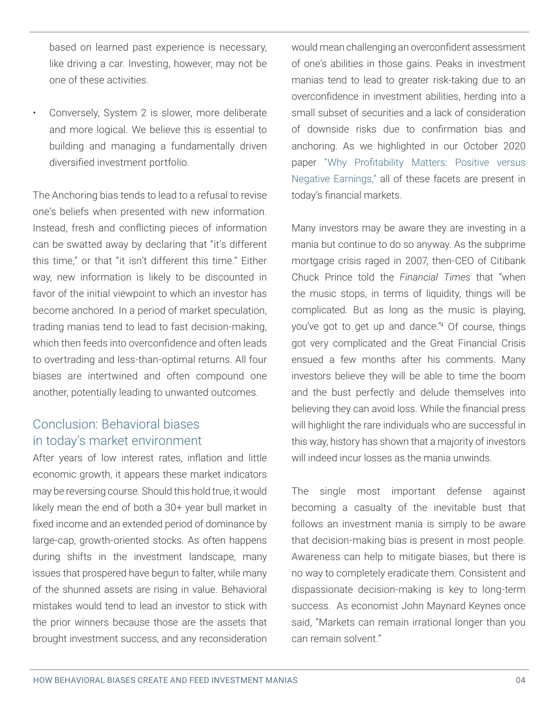based on learned past experience is necessary, like driving a car. Investing, however, may not be one of these activities.

• Conversely, System 2 is slower, more deliberate and more logical. We believe this is essential to building and managing a fundamentally driven diversified investment portfolio.

The Anchoring bias tends to lead to a refusal to revise one's beliefs when presented with new information. Instead, fresh and conflicting pieces of information can be swatted away by declaring that "it's different this time," or that "it isn't different this time." Either way, new information is likely to be discounted in favor of the initial viewpoint to which an investor has become anchored. In a period of market speculation, trading manias tend to lead to fast decision-making, which then feeds into overconfidence and often leads to overtrading and less-than-optimal returns. All four biases are intertwined and often compound one another, potentially leading to unwanted outcomes.

### Conclusion: Behavioral biases in today's market environment

After years of low interest rates, inflation and little economic growth, it appears these market indicators may be reversing course. Should this hold true, it would likely mean the end of both a 30+ year bull market in fixed income and an extended period of dominance by large-cap, growth-oriented stocks. As often happens during shifts in the investment landscape, many issues that prospered have begun to falter, while many of the shunned assets are rising in value. Behavioral mistakes would tend to lead an investor to stick with the prior winners because those are the assets that brought investment success, and any reconsideration

would mean challenging an overconfident assessment of one's abilities in those gains. Peaks in investment manias tend to lead to greater risk-taking due to an overconfidence in investment abilities, herding into a small subset of securities and a lack of consideration of downside risks due to confirmation bias and anchoring. As we highlighted in our October 2020 paper "Why Profitability Matters: Positive versus Negative Earnings," all of these facets are present in today's financial markets.

Many investors may be aware they are investing in a mania but continue to do so anyway. As the subprime mortgage crisis raged in 2007, then-CEO of Citibank Chuck Prince told the *Financial Times* that "when the music stops, in terms of liquidity, things will be complicated. But as long as the music is playing, you've got to get up and dance."4 Of course, things got very complicated and the Great Financial Crisis ensued a few months after his comments. Many investors believe they will be able to time the boom and the bust perfectly and delude themselves into believing they can avoid loss. While the financial press will highlight the rare individuals who are successful in this way, history has shown that a majority of investors will indeed incur losses as the mania unwinds.

The single most important defense against becoming a casualty of the inevitable bust that follows an investment mania is simply to be aware that decision-making bias is present in most people. Awareness can help to mitigate biases, but there is no way to completely eradicate them. Consistent and dispassionate decision-making is key to long-term success. As economist John Maynard Keynes once said, "Markets can remain irrational longer than you can remain solvent."